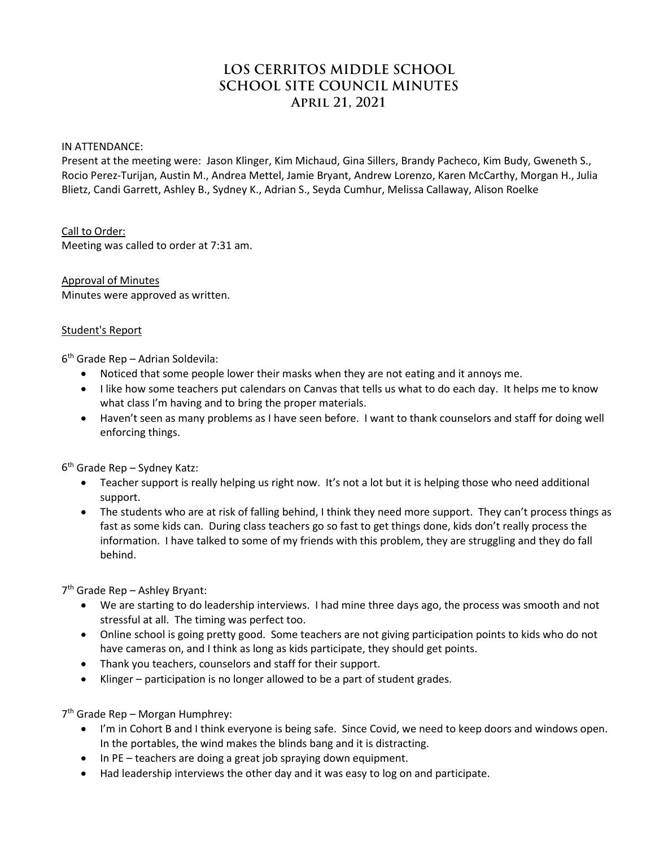# **LOS CERRITOS MIDDLE SCHOOL SCHOOL SITE COUNCIL MINUTES April 21, 2021**

#### IN ATTENDANCE:

Present at the meeting were: Jason Klinger, Kim Michaud, Gina Sillers, Brandy Pacheco, Kim Budy, Gweneth S., Rocio Perez-Turijan, Austin M., Andrea Mettel, Jamie Bryant, Andrew Lorenzo, Karen McCarthy, Morgan H., Julia Blietz, Candi Garrett, Ashley B., Sydney K., Adrian S., Seyda Cumhur, Melissa Callaway, Alison Roelke

Call to Order: Meeting was called to order at 7:31 am.

Approval of Minutes Minutes were approved as written.

#### Student's Report

6th Grade Rep – Adrian Soldevila:

- Noticed that some people lower their masks when they are not eating and it annoys me.
- I like how some teachers put calendars on Canvas that tells us what to do each day. It helps me to know what class I'm having and to bring the proper materials.
- Haven't seen as many problems as I have seen before. I want to thank counselors and staff for doing well enforcing things.

 $6<sup>th</sup>$  Grade Rep – Sydney Katz:

- Teacher support is really helping us right now. It's not a lot but it is helping those who need additional support.
- The students who are at risk of falling behind, I think they need more support. They can't process things as fast as some kids can. During class teachers go so fast to get things done, kids don't really process the information. I have talked to some of my friends with this problem, they are struggling and they do fall behind.

7th Grade Rep – Ashley Bryant:

- We are starting to do leadership interviews. I had mine three days ago, the process was smooth and not stressful at all. The timing was perfect too.
- Online school is going pretty good. Some teachers are not giving participation points to kids who do not have cameras on, and I think as long as kids participate, they should get points.
- Thank you teachers, counselors and staff for their support.
- Klinger participation is no longer allowed to be a part of student grades.

7th Grade Rep – Morgan Humphrey:

- I'm in Cohort B and I think everyone is being safe. Since Covid, we need to keep doors and windows open. In the portables, the wind makes the blinds bang and it is distracting.
- In PE teachers are doing a great job spraying down equipment.
- Had leadership interviews the other day and it was easy to log on and participate.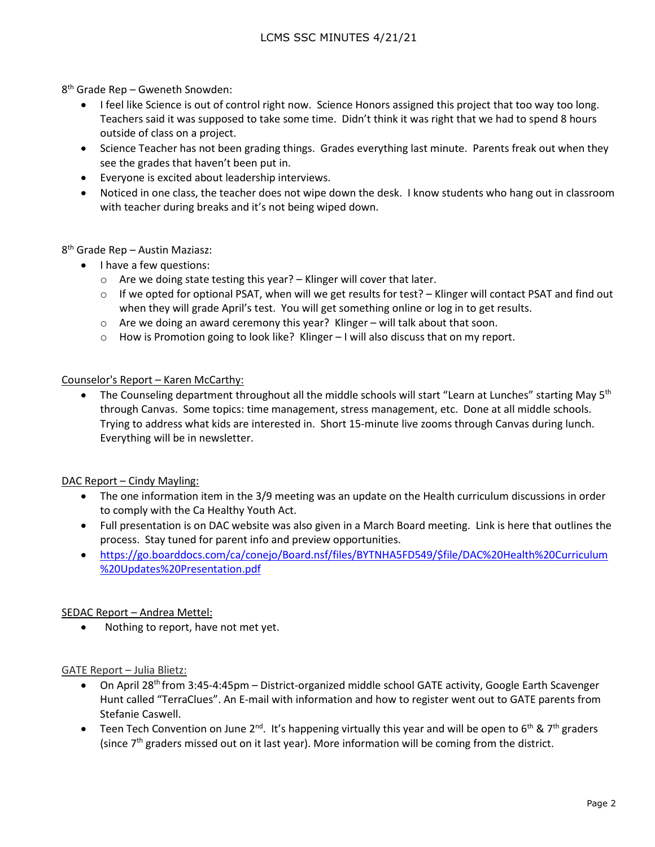8th Grade Rep – Gweneth Snowden:

- I feel like Science is out of control right now. Science Honors assigned this project that too way too long. Teachers said it was supposed to take some time. Didn't think it was right that we had to spend 8 hours outside of class on a project.
- Science Teacher has not been grading things. Grades everything last minute. Parents freak out when they see the grades that haven't been put in.
- Everyone is excited about leadership interviews.
- Noticed in one class, the teacher does not wipe down the desk. I know students who hang out in classroom with teacher during breaks and it's not being wiped down.

8th Grade Rep – Austin Maziasz:

- I have a few questions:
	- o Are we doing state testing this year? Klinger will cover that later.
	- $\circ$  If we opted for optional PSAT, when will we get results for test? Klinger will contact PSAT and find out when they will grade April's test. You will get something online or log in to get results.
	- o Are we doing an award ceremony this year? Klinger will talk about that soon.
	- o How is Promotion going to look like? Klinger I will also discuss that on my report.

#### Counselor's Report – Karen McCarthy:

The Counseling department throughout all the middle schools will start "Learn at Lunches" starting May 5<sup>th</sup> through Canvas. Some topics: time management, stress management, etc. Done at all middle schools. Trying to address what kids are interested in. Short 15-minute live zooms through Canvas during lunch. Everything will be in newsletter.

DAC Report - Cindy Mayling:

- The one information item in the 3/9 meeting was an update on the Health curriculum discussions in order to comply with the Ca Healthy Youth Act.
- Full presentation is on DAC website was also given in a March Board meeting. Link is here that outlines the process. Stay tuned for parent info and preview opportunities.
- [https://go.boarddocs.com/ca/conejo/Board.nsf/files/BYTNHA5FD549/\\$file/DAC%20Health%20Curriculum](https://go.boarddocs.com/ca/conejo/Board.nsf/files/BYTNHA5FD549/$file/DAC%20Health%20Curriculum%20Updates%20Presentation.pdf) [%20Updates%20Presentation.pdf](https://go.boarddocs.com/ca/conejo/Board.nsf/files/BYTNHA5FD549/$file/DAC%20Health%20Curriculum%20Updates%20Presentation.pdf)

#### SEDAC Report – Andrea Mettel:

• Nothing to report, have not met yet.

GATE Report – Julia Blietz:

- On April 28<sup>th</sup> from 3:45-4:45pm District-organized middle school GATE activity, Google Earth Scavenger Hunt called "TerraClues". An E-mail with information and how to register went out to GATE parents from Stefanie Caswell.
- Teen Tech Convention on June 2<sup>nd</sup>. It's happening virtually this year and will be open to 6<sup>th</sup> & 7<sup>th</sup> graders (since  $7<sup>th</sup>$  graders missed out on it last year). More information will be coming from the district.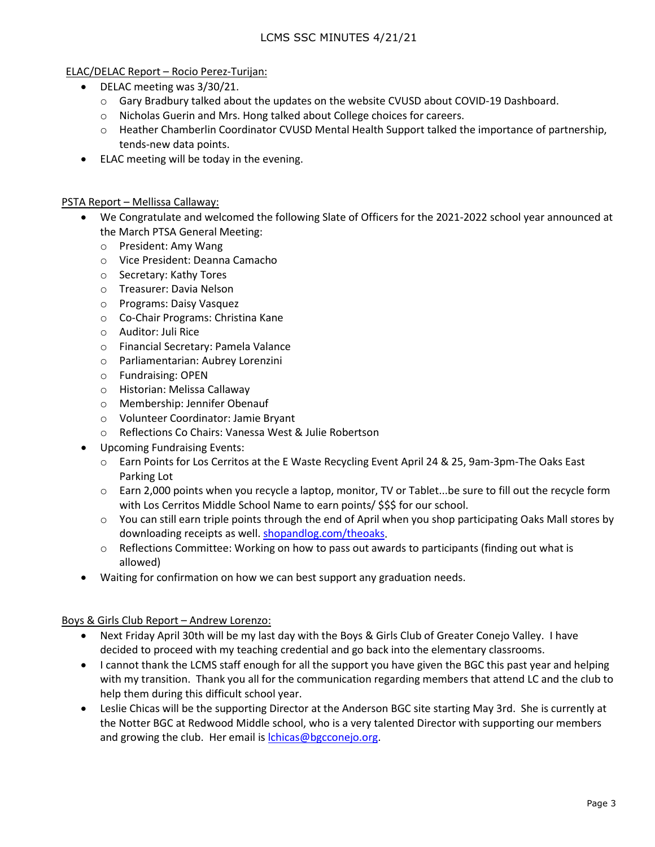## LCMS SSC MINUTES 4/21/21

#### ELAC/DELAC Report – Rocio Perez-Turijan:

- DELAC meeting was 3/30/21.
	- o Gary Bradbury talked about the updates on the website CVUSD about COVID-19 Dashboard.
	- o Nicholas Guerin and Mrs. Hong talked about College choices for careers.
	- o Heather Chamberlin Coordinator CVUSD Mental Health Support talked the importance of partnership, tends-new data points.
- ELAC meeting will be today in the evening.

#### PSTA Report – Mellissa Callaway:

- We Congratulate and welcomed the following Slate of Officers for the 2021-2022 school year announced at the March PTSA General Meeting:
	- o President: Amy Wang
	- o Vice President: Deanna Camacho
	- o Secretary: Kathy Tores
	- o Treasurer: Davia Nelson
	- o Programs: Daisy Vasquez
	- o Co-Chair Programs: Christina Kane
	- o Auditor: Juli Rice
	- o Financial Secretary: Pamela Valance
	- o Parliamentarian: Aubrey Lorenzini
	- o Fundraising: OPEN
	- o Historian: Melissa Callaway
	- o Membership: Jennifer Obenauf
	- o Volunteer Coordinator: Jamie Bryant
	- o Reflections Co Chairs: Vanessa West & Julie Robertson
- Upcoming Fundraising Events:
	- o Earn Points for Los Cerritos at the E Waste Recycling Event April 24 & 25, 9am-3pm-The Oaks East Parking Lot
	- o Earn 2,000 points when you recycle a laptop, monitor, TV or Tablet...be sure to fill out the recycle form with Los Cerritos Middle School Name to earn points/ \$\$\$ for our school.
	- $\circ$  You can still earn triple points through the end of April when you shop participating Oaks Mall stores by downloading receipts as well. [shopandlog.com/theoaks.](http://shopandlog.com/theoaks)
	- $\circ$  Reflections Committee: Working on how to pass out awards to participants (finding out what is allowed)
- Waiting for confirmation on how we can best support any graduation needs.

#### Boys & Girls Club Report – Andrew Lorenzo:

- Next Friday April 30th will be my last day with the Boys & Girls Club of Greater Conejo Valley. I have decided to proceed with my teaching credential and go back into the elementary classrooms.
- I cannot thank the LCMS staff enough for all the support you have given the BGC this past year and helping with my transition. Thank you all for the communication regarding members that attend LC and the club to help them during this difficult school year.
- Leslie Chicas will be the supporting Director at the Anderson BGC site starting May 3rd. She is currently at the Notter BGC at Redwood Middle school, who is a very talented Director with supporting our members and growing the club. Her email is *chicas@bgcconejo.org.*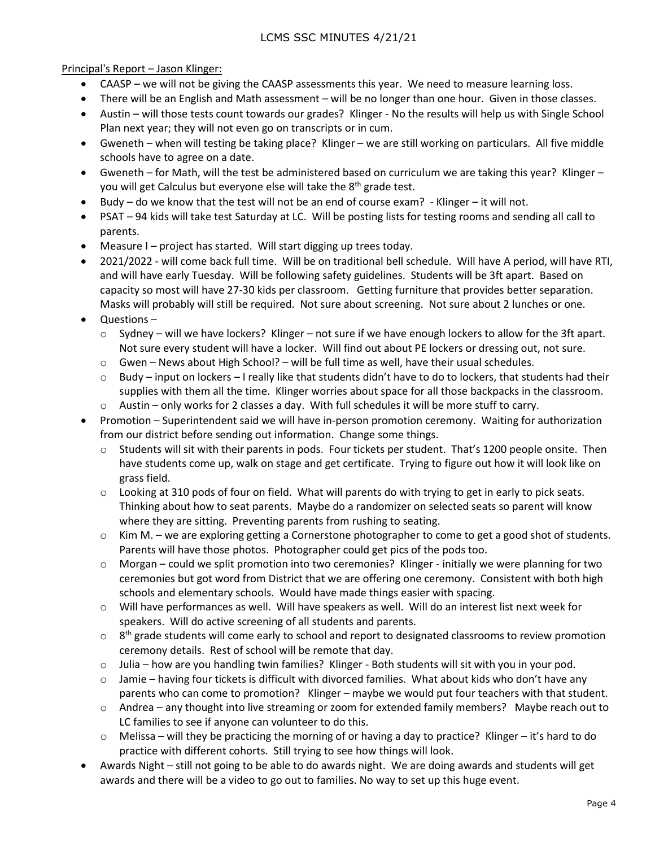Principal's Report – Jason Klinger:

- CAASP we will not be giving the CAASP assessments this year. We need to measure learning loss.
- There will be an English and Math assessment will be no longer than one hour. Given in those classes.
- Austin will those tests count towards our grades? Klinger No the results will help us with Single School Plan next year; they will not even go on transcripts or in cum.
- Gweneth when will testing be taking place? Klinger we are still working on particulars. All five middle schools have to agree on a date.
- Gweneth for Math, will the test be administered based on curriculum we are taking this year? Klinger you will get Calculus but everyone else will take the  $8<sup>th</sup>$  grade test.
- $\bullet$  Budy do we know that the test will not be an end of course exam? Klinger it will not.
- PSAT 94 kids will take test Saturday at LC. Will be posting lists for testing rooms and sending all call to parents.
- Measure I project has started. Will start digging up trees today.
- 2021/2022 will come back full time. Will be on traditional bell schedule. Will have A period, will have RTI, and will have early Tuesday. Will be following safety guidelines. Students will be 3ft apart. Based on capacity so most will have 27-30 kids per classroom. Getting furniture that provides better separation. Masks will probably will still be required. Not sure about screening. Not sure about 2 lunches or one.
- Questions
	- $\circ$  Sydney will we have lockers? Klinger not sure if we have enough lockers to allow for the 3ft apart. Not sure every student will have a locker. Will find out about PE lockers or dressing out, not sure.
	- $\circ$  Gwen News about High School? will be full time as well, have their usual schedules.
	- $\circ$  Budy input on lockers I really like that students didn't have to do to lockers, that students had their supplies with them all the time. Klinger worries about space for all those backpacks in the classroom.
	- $\circ$  Austin only works for 2 classes a day. With full schedules it will be more stuff to carry.
- Promotion Superintendent said we will have in-person promotion ceremony. Waiting for authorization from our district before sending out information. Change some things.
	- o Students will sit with their parents in pods. Four tickets per student. That's 1200 people onsite. Then have students come up, walk on stage and get certificate. Trying to figure out how it will look like on grass field.
	- $\circ$  Looking at 310 pods of four on field. What will parents do with trying to get in early to pick seats. Thinking about how to seat parents. Maybe do a randomizer on selected seats so parent will know where they are sitting. Preventing parents from rushing to seating.
	- $\circ$  Kim M. we are exploring getting a Cornerstone photographer to come to get a good shot of students. Parents will have those photos. Photographer could get pics of the pods too.
	- o Morgan could we split promotion into two ceremonies? Klinger initially we were planning for two ceremonies but got word from District that we are offering one ceremony. Consistent with both high schools and elementary schools. Would have made things easier with spacing.
	- o Will have performances as well. Will have speakers as well. Will do an interest list next week for speakers. Will do active screening of all students and parents.
	- $\circ$  8<sup>th</sup> grade students will come early to school and report to designated classrooms to review promotion ceremony details. Rest of school will be remote that day.
	- $\circ$  Julia how are you handling twin families? Klinger Both students will sit with you in your pod.
	- $\circ$  Jamie having four tickets is difficult with divorced families. What about kids who don't have any parents who can come to promotion? Klinger – maybe we would put four teachers with that student.
	- $\circ$  Andrea any thought into live streaming or zoom for extended family members? Maybe reach out to LC families to see if anyone can volunteer to do this.
	- $\circ$  Melissa will they be practicing the morning of or having a day to practice? Klinger it's hard to do practice with different cohorts. Still trying to see how things will look.
- Awards Night still not going to be able to do awards night. We are doing awards and students will get awards and there will be a video to go out to families. No way to set up this huge event.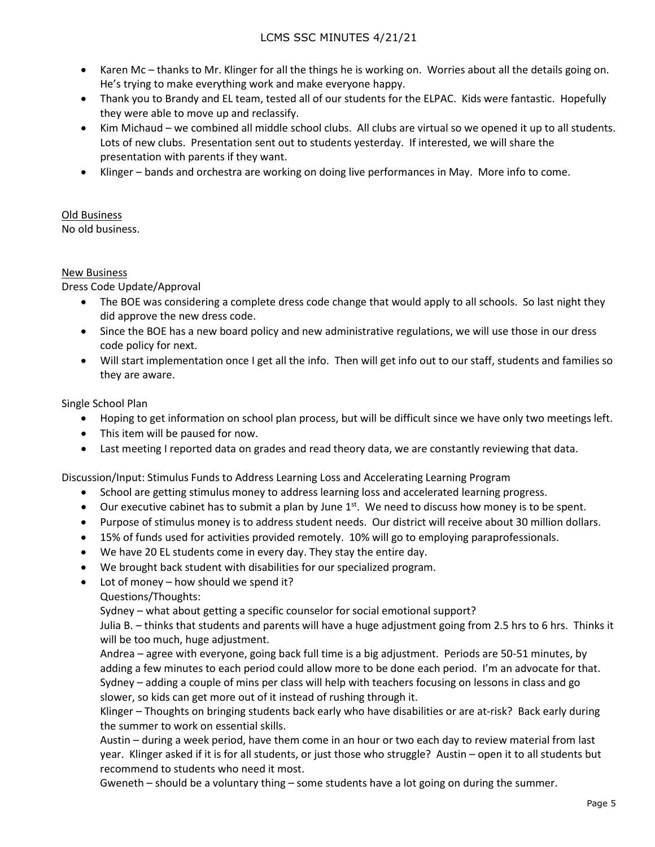- Karen Mc thanks to Mr. Klinger for all the things he is working on. Worries about all the details going on. He's trying to make everything work and make everyone happy.
- Thank you to Brandy and EL team, tested all of our students for the ELPAC. Kids were fantastic. Hopefully they were able to move up and reclassify.
- Kim Michaud we combined all middle school clubs. All clubs are virtual so we opened it up to all students. Lots of new clubs. Presentation sent out to students yesterday. If interested, we will share the presentation with parents if they want.
- Klinger bands and orchestra are working on doing live performances in May. More info to come.

# Old Business

No old business.

### New Business

Dress Code Update/Approval

- The BOE was considering a complete dress code change that would apply to all schools. So last night they did approve the new dress code.
- Since the BOE has a new board policy and new administrative regulations, we will use those in our dress code policy for next.
- Will start implementation once I get all the info. Then will get info out to our staff, students and families so they are aware.

Single School Plan

- Hoping to get information on school plan process, but will be difficult since we have only two meetings left.
- This item will be paused for now.
- Last meeting I reported data on grades and read theory data, we are constantly reviewing that data.

Discussion/Input: Stimulus Funds to Address Learning Loss and Accelerating Learning Program

- School are getting stimulus money to address learning loss and accelerated learning progress.
- Our executive cabinet has to submit a plan by June  $1^{st}$ . We need to discuss how money is to be spent.
- Purpose of stimulus money is to address student needs. Our district will receive about 30 million dollars.
- 15% of funds used for activities provided remotely. 10% will go to employing paraprofessionals.
- We have 20 EL students come in every day. They stay the entire day.
- We brought back student with disabilities for our specialized program.
- Lot of money how should we spend it?
	- Questions/Thoughts:

Sydney – what about getting a specific counselor for social emotional support?

Julia B. – thinks that students and parents will have a huge adjustment going from 2.5 hrs to 6 hrs. Thinks it will be too much, huge adjustment.

Andrea – agree with everyone, going back full time is a big adjustment. Periods are 50-51 minutes, by adding a few minutes to each period could allow more to be done each period. I'm an advocate for that. Sydney – adding a couple of mins per class will help with teachers focusing on lessons in class and go slower, so kids can get more out of it instead of rushing through it.

Klinger – Thoughts on bringing students back early who have disabilities or are at-risk? Back early during the summer to work on essential skills.

Austin – during a week period, have them come in an hour or two each day to review material from last year. Klinger asked if it is for all students, or just those who struggle? Austin – open it to all students but recommend to students who need it most.

Gweneth – should be a voluntary thing – some students have a lot going on during the summer.